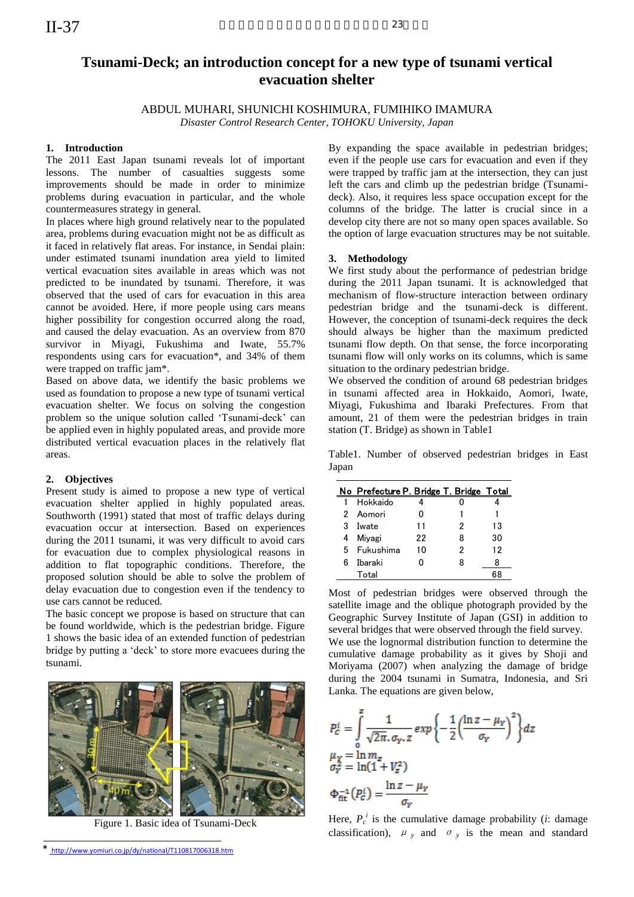# **Tsunami-Deck; an introduction concept for a new type of tsunami vertical evacuation shelter**

ABDUL MUHARI, SHUNICHI KOSHIMURA, FUMIHIKO IMAMURA

*Disaster Control Research Center, TOHOKU University, Japan*

## **1. Introduction**

The 2011 East Japan tsunami reveals lot of important lessons. The number of casualties suggests some improvements should be made in order to minimize problems during evacuation in particular, and the whole countermeasures strategy in general.

In places where high ground relatively near to the populated area, problems during evacuation might not be as difficult as it faced in relatively flat areas. For instance, in Sendai plain: under estimated tsunami inundation area yield to limited vertical evacuation sites available in areas which was not predicted to be inundated by tsunami. Therefore, it was observed that the used of cars for evacuation in this area cannot be avoided. Here, if more people using cars means higher possibility for congestion occurred along the road, and caused the delay evacuation. As an overview from 870 survivor in Miyagi, Fukushima and Iwate, 55.7% respondents using cars for evacuation\*, and 34% of them were trapped on traffic jam\*.

Based on above data, we identify the basic problems we used as foundation to propose a new type of tsunami vertical evacuation shelter. We focus on solving the congestion problem so the unique solution called 'Tsunami-deck' can be applied even in highly populated areas, and provide more distributed vertical evacuation places in the relatively flat areas.

### **2. Objectives**

Present study is aimed to propose a new type of vertical evacuation shelter applied in highly populated areas. Southworth (1991) stated that most of traffic delays during evacuation occur at intersection. Based on experiences during the 2011 tsunami, it was very difficult to avoid cars for evacuation due to complex physiological reasons in addition to flat topographic conditions. Therefore, the proposed solution should be able to solve the problem of delay evacuation due to congestion even if the tendency to use cars cannot be reduced.

The basic concept we propose is based on structure that can be found worldwide, which is the pedestrian bridge. Figure 1 shows the basic idea of an extended function of pedestrian bridge by putting a 'deck' to store more evacuees during the tsunami.



Figure 1. Basic idea of Tsunami-Deck

\* <http://www.yomiuri.co.jp/dy/national/T110817006318.htm>

By expanding the space available in pedestrian bridges; even if the people use cars for evacuation and even if they were trapped by traffic jam at the intersection, they can just left the cars and climb up the pedestrian bridge (Tsunamideck). Also, it requires less space occupation except for the columns of the bridge. The latter is crucial since in a develop city there are not so many open spaces available. So the option of large evacuation structures may be not suitable.

#### **3. Methodology**

We first study about the performance of pedestrian bridge during the 2011 Japan tsunami. It is acknowledged that mechanism of flow-structure interaction between ordinary pedestrian bridge and the tsunami-deck is different. However, the conception of tsunami-deck requires the deck should always be higher than the maximum predicted tsunami flow depth. On that sense, the force incorporating tsunami flow will only works on its columns, which is same situation to the ordinary pedestrian bridge.

We observed the condition of around 68 pedestrian bridges in tsunami affected area in Hokkaido, Aomori, Iwate, Miyagi, Fukushima and Ibaraki Prefectures. From that amount, 21 of them were the pedestrian bridges in train station (T. Bridge) as shown in Table1

Table1. Number of observed pedestrian bridges in East Japan

|    | No Prefecture P. Bridge T. Bridge Total |    |   |    |
|----|-----------------------------------------|----|---|----|
|    | Hokkaido                                |    |   |    |
|    | 2 Aomori                                |    |   |    |
| 3  | Iwate                                   | 11 | 2 | 13 |
| 4  | Mivagi                                  | 22 | 8 | 30 |
|    | 5 Fukushima                             | 10 | 2 | 12 |
| ิค | <b>Ibaraki</b>                          | n  | 8 |    |
|    | Total                                   |    |   | 68 |

Most of pedestrian bridges were observed through the satellite image and the oblique photograph provided by the Geographic Survey Institute of Japan (GSI) in addition to several bridges that were observed through the field survey. We use the lognormal distribution function to determine the cumulative damage probability as it gives by Shoji and Moriyama (2007) when analyzing the damage of bridge during the 2004 tsunami in Sumatra, Indonesia, and Sri Lanka. The equations are given below, **No Prefecture P. Bridge T. Bridge Total**<br>
1 Hokkaido 4 0 4<br>
2 Aomori 0 1 1<br>
3 Iwate 11 2 13<br>
4 Miyagi 22 8 30<br>
5 Fukushima 10 2 12<br>
6 Ibaraki 0 8 8<br>
Total 0 8 8<br>
Total 6 1<br>
Total 6 1<br>
Total 6 1<br>
Total 6 1<br>
Total 6 8<br>
Tot

$$
P_c^i = \int_0^z \frac{1}{\sqrt{2\pi} \cdot \sigma_Y z} \exp\left\{-\frac{1}{2} \left(\frac{\ln z - \mu_Y}{\sigma_Y}\right)^2\right\} dz
$$
  
\n
$$
\mu_Y = \ln m_z
$$
  
\n
$$
\sigma_Y^2 = \ln(1 + V_z^2)
$$
  
\n
$$
\Phi_{\text{fit}}^{-1}(P_c^i) = \frac{\ln z - \mu_Y}{\sigma_Y}
$$

Here,  $P_c^i$  is the cumulative damage probability (*i*: damage classification),  $\mu_{y}$  and  $\sigma_{y}$  is the mean and standard